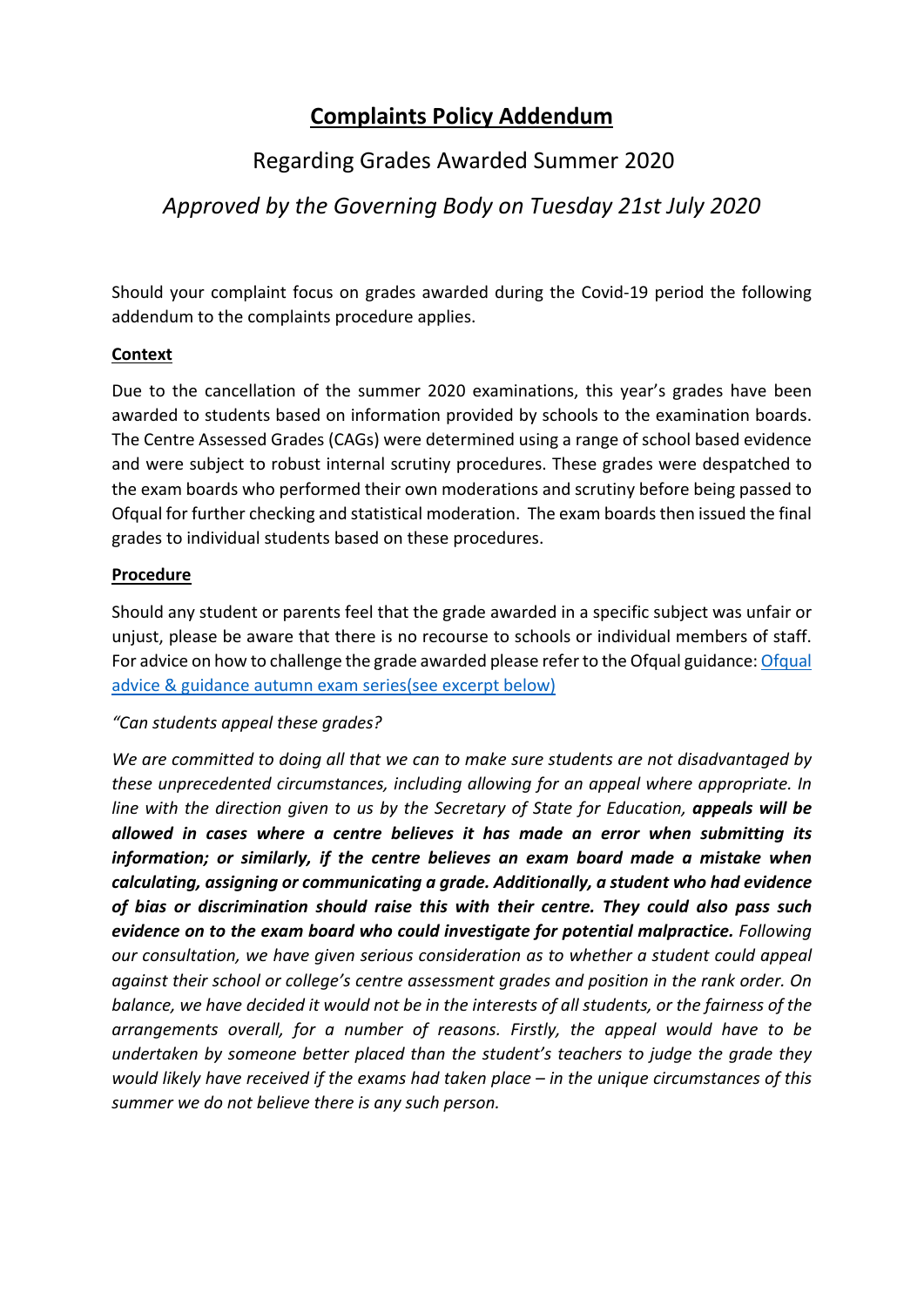# **Complaints Policy Addendum**

## Regarding Grades Awarded Summer 2020

### *Approved by the Governing Body on Tuesday 21st July 2020*

Should your complaint focus on grades awarded during the Covid-19 period the following addendum to the complaints procedure applies.

#### **Context**

Due to the cancellation of the summer 2020 examinations, this year's grades have been awarded to students based on information provided by schools to the examination boards. The Centre Assessed Grades (CAGs) were determined using a range of school based evidence and were subject to robust internal scrutiny procedures. These grades were despatched to the exam boards who performed their own moderations and scrutiny before being passed to Ofqual for further checking and statistical moderation. The exam boards then issued the final grades to individual students based on these procedures.

#### **Procedure**

Should any student or parents feel that the grade awarded in a specific subject was unfair or unjust, please be aware that there is no recourse to schools or individual members of staff. For advice on how to challenge the grade awarded please refer to the Ofqual guidance: Ofqual advice & guidance autumn exam series(see excerpt below)

#### *"Can students appeal these grades?*

*We are committed to doing all that we can to make sure students are not disadvantaged by these unprecedented circumstances, including allowing for an appeal where appropriate. In line with the direction given to us by the Secretary of State for Education, appeals will be allowed in cases where a centre believes it has made an error when submitting its information; or similarly, if the centre believes an exam board made a mistake when calculating, assigning or communicating a grade. Additionally, a student who had evidence of bias or discrimination should raise this with their centre. They could also pass such evidence on to the exam board who could investigate for potential malpractice. Following our consultation, we have given serious consideration as to whether a student could appeal against their school or college's centre assessment grades and position in the rank order. On balance, we have decided it would not be in the interests of all students, or the fairness of the arrangements overall, for a number of reasons. Firstly, the appeal would have to be undertaken by someone better placed than the student's teachers to judge the grade they would likely have received if the exams had taken place – in the unique circumstances of this*  summer we do not believe there is any such person.